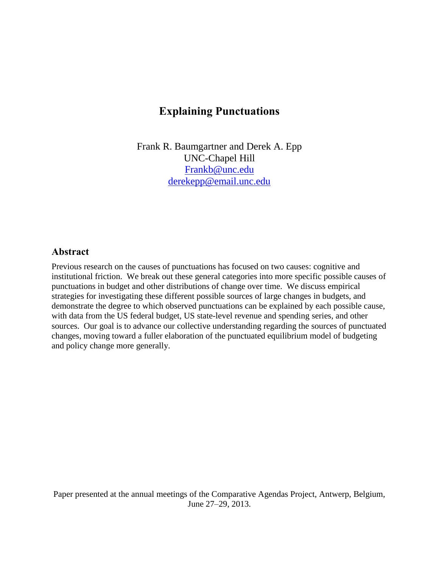# **Explaining Punctuations**

Frank R. Baumgartner and Derek A. Epp UNC-Chapel Hill [Frankb@unc.edu](mailto:Frankb@unc.edu) [derekepp@email.unc.edu](mailto:derekepp@email.unc.edu)

# **Abstract**

Previous research on the causes of punctuations has focused on two causes: cognitive and institutional friction. We break out these general categories into more specific possible causes of punctuations in budget and other distributions of change over time. We discuss empirical strategies for investigating these different possible sources of large changes in budgets, and demonstrate the degree to which observed punctuations can be explained by each possible cause, with data from the US federal budget, US state-level revenue and spending series, and other sources. Our goal is to advance our collective understanding regarding the sources of punctuated changes, moving toward a fuller elaboration of the punctuated equilibrium model of budgeting and policy change more generally.

Paper presented at the annual meetings of the Comparative Agendas Project, Antwerp, Belgium, June 27–29, 2013.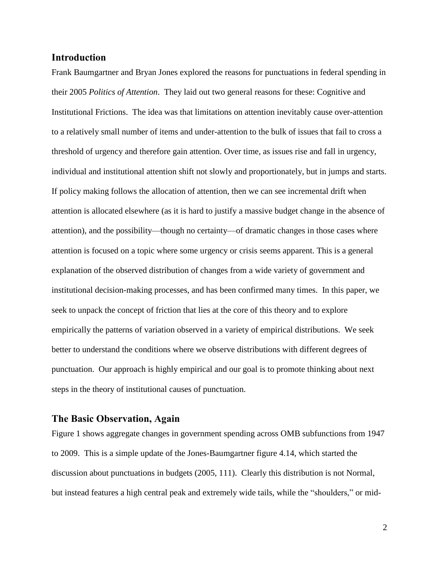### **Introduction**

Frank Baumgartner and Bryan Jones explored the reasons for punctuations in federal spending in their 2005 *Politics of Attention*. They laid out two general reasons for these: Cognitive and Institutional Frictions. The idea was that limitations on attention inevitably cause over-attention to a relatively small number of items and under-attention to the bulk of issues that fail to cross a threshold of urgency and therefore gain attention. Over time, as issues rise and fall in urgency, individual and institutional attention shift not slowly and proportionately, but in jumps and starts. If policy making follows the allocation of attention, then we can see incremental drift when attention is allocated elsewhere (as it is hard to justify a massive budget change in the absence of attention), and the possibility—though no certainty—of dramatic changes in those cases where attention is focused on a topic where some urgency or crisis seems apparent. This is a general explanation of the observed distribution of changes from a wide variety of government and institutional decision-making processes, and has been confirmed many times. In this paper, we seek to unpack the concept of friction that lies at the core of this theory and to explore empirically the patterns of variation observed in a variety of empirical distributions. We seek better to understand the conditions where we observe distributions with different degrees of punctuation. Our approach is highly empirical and our goal is to promote thinking about next steps in the theory of institutional causes of punctuation.

### **The Basic Observation, Again**

Figure 1 shows aggregate changes in government spending across OMB subfunctions from 1947 to 2009. This is a simple update of the Jones-Baumgartner figure 4.14, which started the discussion about punctuations in budgets (2005, 111). Clearly this distribution is not Normal, but instead features a high central peak and extremely wide tails, while the "shoulders," or mid-

2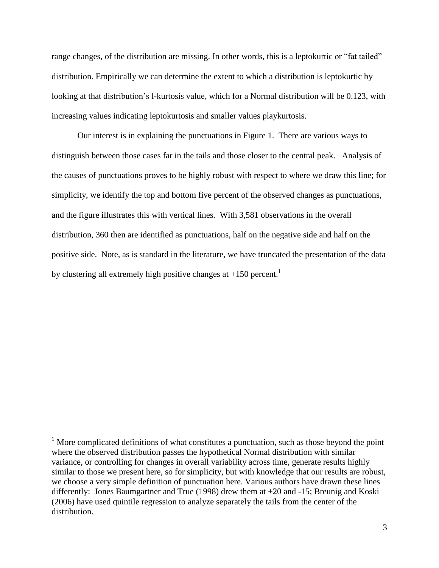range changes, of the distribution are missing. In other words, this is a leptokurtic or "fat tailed" distribution. Empirically we can determine the extent to which a distribution is leptokurtic by looking at that distribution's l-kurtosis value, which for a Normal distribution will be 0.123, with increasing values indicating leptokurtosis and smaller values playkurtosis.

Our interest is in explaining the punctuations in Figure 1. There are various ways to distinguish between those cases far in the tails and those closer to the central peak. Analysis of the causes of punctuations proves to be highly robust with respect to where we draw this line; for simplicity, we identify the top and bottom five percent of the observed changes as punctuations, and the figure illustrates this with vertical lines. With 3,581 observations in the overall distribution, 360 then are identified as punctuations, half on the negative side and half on the positive side. Note, as is standard in the literature, we have truncated the presentation of the data by clustering all extremely high positive changes at  $+150$  percent.<sup>1</sup>

 $1$  More complicated definitions of what constitutes a punctuation, such as those beyond the point where the observed distribution passes the hypothetical Normal distribution with similar variance, or controlling for changes in overall variability across time, generate results highly similar to those we present here, so for simplicity, but with knowledge that our results are robust, we choose a very simple definition of punctuation here. Various authors have drawn these lines differently: Jones Baumgartner and True (1998) drew them at +20 and -15; Breunig and Koski (2006) have used quintile regression to analyze separately the tails from the center of the distribution.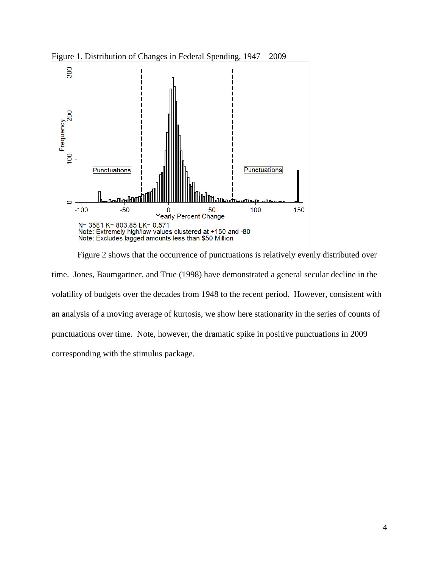

Figure 1. Distribution of Changes in Federal Spending, 1947 – 2009

Figure 2 shows that the occurrence of punctuations is relatively evenly distributed over time. Jones, Baumgartner, and True (1998) have demonstrated a general secular decline in the volatility of budgets over the decades from 1948 to the recent period. However, consistent with an analysis of a moving average of kurtosis, we show here stationarity in the series of counts of punctuations over time. Note, however, the dramatic spike in positive punctuations in 2009 corresponding with the stimulus package.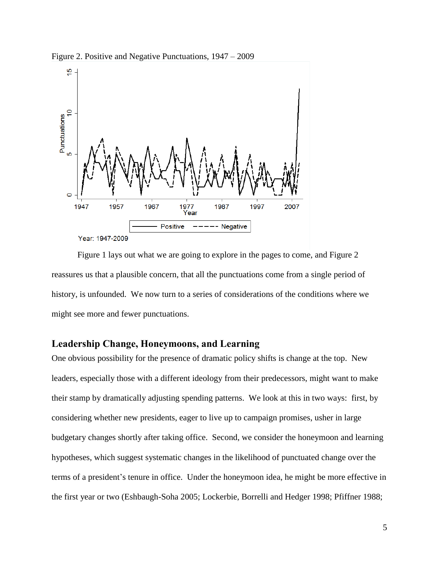

Figure 2. Positive and Negative Punctuations, 1947 – 2009

Figure 1 lays out what we are going to explore in the pages to come, and Figure 2 reassures us that a plausible concern, that all the punctuations come from a single period of history, is unfounded. We now turn to a series of considerations of the conditions where we might see more and fewer punctuations.

### **Leadership Change, Honeymoons, and Learning**

One obvious possibility for the presence of dramatic policy shifts is change at the top. New leaders, especially those with a different ideology from their predecessors, might want to make their stamp by dramatically adjusting spending patterns. We look at this in two ways: first, by considering whether new presidents, eager to live up to campaign promises, usher in large budgetary changes shortly after taking office. Second, we consider the honeymoon and learning hypotheses, which suggest systematic changes in the likelihood of punctuated change over the terms of a president's tenure in office. Under the honeymoon idea, he might be more effective in the first year or two (Eshbaugh-Soha 2005; Lockerbie, Borrelli and Hedger 1998; Pfiffner 1988;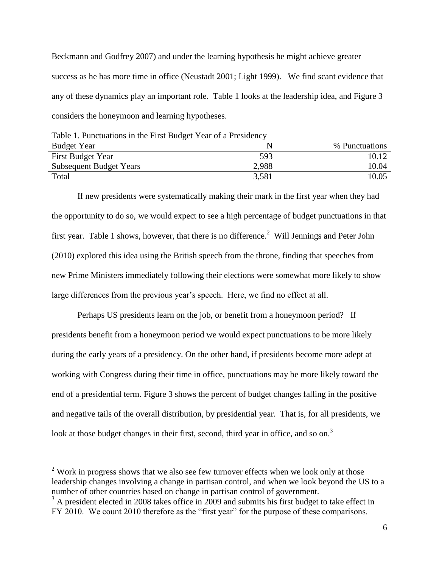Beckmann and Godfrey 2007) and under the learning hypothesis he might achieve greater success as he has more time in office (Neustadt 2001; Light 1999). We find scant evidence that any of these dynamics play an important role. Table 1 looks at the leadership idea, and Figure 3 considers the honeymoon and learning hypotheses.

| Table 1. Punctuations in the First Budget Year of a Presidency |       |                |  |
|----------------------------------------------------------------|-------|----------------|--|
| <b>Budget Year</b>                                             | N     | % Punctuations |  |
| <b>First Budget Year</b>                                       | 593   | 10.12          |  |
| <b>Subsequent Budget Years</b>                                 | 2,988 | 10.04          |  |
| Total                                                          | 3,581 | 10.05          |  |

If new presidents were systematically making their mark in the first year when they had the opportunity to do so, we would expect to see a high percentage of budget punctuations in that first year. Table 1 shows, however, that there is no difference.<sup>2</sup> Will Jennings and Peter John (2010) explored this idea using the British speech from the throne, finding that speeches from new Prime Ministers immediately following their elections were somewhat more likely to show large differences from the previous year's speech. Here, we find no effect at all.

Perhaps US presidents learn on the job, or benefit from a honeymoon period? If presidents benefit from a honeymoon period we would expect punctuations to be more likely during the early years of a presidency. On the other hand, if presidents become more adept at working with Congress during their time in office, punctuations may be more likely toward the end of a presidential term. Figure 3 shows the percent of budget changes falling in the positive and negative tails of the overall distribution, by presidential year. That is, for all presidents, we look at those budget changes in their first, second, third year in office, and so on.<sup>3</sup>

 $2$  Work in progress shows that we also see few turnover effects when we look only at those leadership changes involving a change in partisan control, and when we look beyond the US to a number of other countries based on change in partisan control of government.

<sup>&</sup>lt;sup>3</sup> A president elected in 2008 takes office in 2009 and submits his first budget to take effect in FY 2010. We count 2010 therefore as the "first year" for the purpose of these comparisons.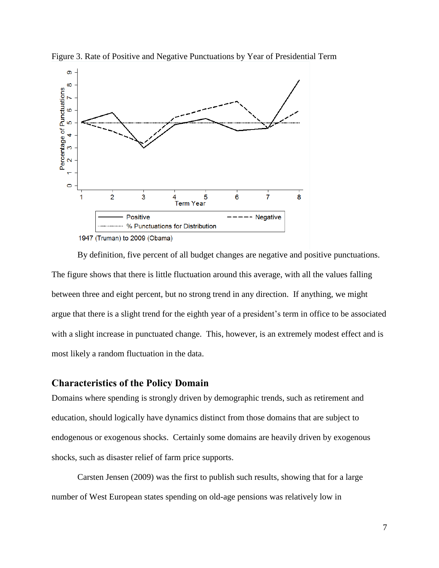

Figure 3. Rate of Positive and Negative Punctuations by Year of Presidential Term

By definition, five percent of all budget changes are negative and positive punctuations. The figure shows that there is little fluctuation around this average, with all the values falling between three and eight percent, but no strong trend in any direction. If anything, we might argue that there is a slight trend for the eighth year of a president's term in office to be associated with a slight increase in punctuated change. This, however, is an extremely modest effect and is most likely a random fluctuation in the data.

### **Characteristics of the Policy Domain**

Domains where spending is strongly driven by demographic trends, such as retirement and education, should logically have dynamics distinct from those domains that are subject to endogenous or exogenous shocks. Certainly some domains are heavily driven by exogenous shocks, such as disaster relief of farm price supports.

Carsten Jensen (2009) was the first to publish such results, showing that for a large number of West European states spending on old-age pensions was relatively low in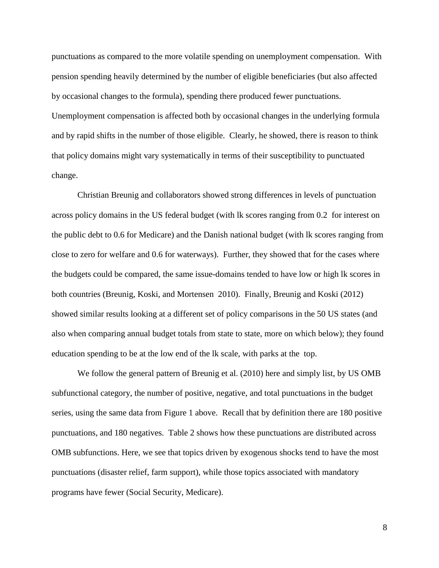punctuations as compared to the more volatile spending on unemployment compensation. With pension spending heavily determined by the number of eligible beneficiaries (but also affected by occasional changes to the formula), spending there produced fewer punctuations. Unemployment compensation is affected both by occasional changes in the underlying formula and by rapid shifts in the number of those eligible. Clearly, he showed, there is reason to think that policy domains might vary systematically in terms of their susceptibility to punctuated change.

Christian Breunig and collaborators showed strong differences in levels of punctuation across policy domains in the US federal budget (with lk scores ranging from 0.2 for interest on the public debt to 0.6 for Medicare) and the Danish national budget (with lk scores ranging from close to zero for welfare and 0.6 for waterways). Further, they showed that for the cases where the budgets could be compared, the same issue-domains tended to have low or high lk scores in both countries (Breunig, Koski, and Mortensen 2010). Finally, Breunig and Koski (2012) showed similar results looking at a different set of policy comparisons in the 50 US states (and also when comparing annual budget totals from state to state, more on which below); they found education spending to be at the low end of the lk scale, with parks at the top.

We follow the general pattern of Breunig et al. (2010) here and simply list, by US OMB subfunctional category, the number of positive, negative, and total punctuations in the budget series, using the same data from Figure 1 above. Recall that by definition there are 180 positive punctuations, and 180 negatives. Table 2 shows how these punctuations are distributed across OMB subfunctions. Here, we see that topics driven by exogenous shocks tend to have the most punctuations (disaster relief, farm support), while those topics associated with mandatory programs have fewer (Social Security, Medicare).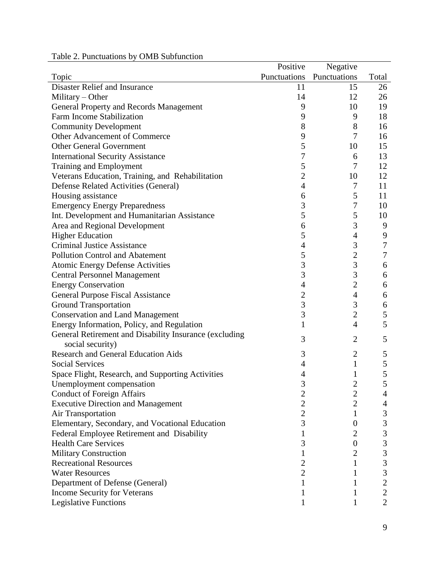| Table 2. Punctuations by OMB Subfunction |  |  |  |
|------------------------------------------|--|--|--|
|------------------------------------------|--|--|--|

|                                                        | Positive       | Negative         |                  |
|--------------------------------------------------------|----------------|------------------|------------------|
| Topic                                                  | Punctuations   | Punctuations     | Total            |
| Disaster Relief and Insurance                          | 11             | 15               | 26               |
| Military $-$ Other                                     | 14             | 12               | 26               |
| General Property and Records Management                | 9              | 10               | 19               |
| Farm Income Stabilization                              | 9              | 9                | 18               |
| <b>Community Development</b>                           | 8              | 8                | 16               |
| Other Advancement of Commerce                          | 9              | $\overline{7}$   | 16               |
| <b>Other General Government</b>                        | 5              | 10               | 15               |
| <b>International Security Assistance</b>               | 7              | 6                | 13               |
| <b>Training and Employment</b>                         | 5              | $\overline{7}$   | 12               |
| Veterans Education, Training, and Rehabilitation       | $\overline{2}$ | 10               | 12               |
| Defense Related Activities (General)                   | 4              | 7                | 11               |
| Housing assistance                                     | 6              | 5                | 11               |
| <b>Emergency Energy Preparedness</b>                   | 3              | 7                | 10               |
| Int. Development and Humanitarian Assistance           | 5              | 5                | 10               |
| Area and Regional Development                          | 6              | 3                | 9                |
| <b>Higher Education</b>                                | 5              | $\overline{4}$   | 9                |
| <b>Criminal Justice Assistance</b>                     | $\overline{4}$ | 3                | $\boldsymbol{7}$ |
| <b>Pollution Control and Abatement</b>                 | 5              | $\mathbf{2}$     | 7                |
| <b>Atomic Energy Defense Activities</b>                | 3              | 3                | 6                |
| <b>Central Personnel Management</b>                    | 3              | $\mathfrak{Z}$   | 6                |
| <b>Energy Conservation</b>                             | 4              | $\mathbf{2}$     | 6                |
| <b>General Purpose Fiscal Assistance</b>               | $\overline{c}$ | $\overline{4}$   | 6                |
| <b>Ground Transportation</b>                           | 3              | $\mathfrak{Z}$   | 6                |
| <b>Conservation and Land Management</b>                | 3              | $\mathbf{2}$     | 5                |
| Energy Information, Policy, and Regulation             | 1              | $\overline{4}$   | 5                |
| General Retirement and Disability Insurance (excluding | 3              |                  |                  |
| social security)                                       |                | $\overline{2}$   | 5                |
| <b>Research and General Education Aids</b>             | 3              | $\overline{2}$   | 5                |
| <b>Social Services</b>                                 | 4              | $\mathbf{1}$     | 5                |
| Space Flight, Research, and Supporting Activities      | 4              | 1                | 5                |
| Unemployment compensation                              | 3              | $\overline{c}$   | 5                |
| <b>Conduct of Foreign Affairs</b>                      | $\overline{c}$ | $\overline{2}$   | 4                |
| <b>Executive Direction and Management</b>              | $\overline{c}$ | $\overline{2}$   | 4                |
| <b>Air Transportation</b>                              | $\overline{c}$ | $\mathbf 1$      | $\mathfrak{Z}$   |
| Elementary, Secondary, and Vocational Education        | 3              | $\theta$         | 3                |
| Federal Employee Retirement and Disability             |                | 2                | $\overline{3}$   |
| <b>Health Care Services</b>                            | 3              | $\boldsymbol{0}$ | 3                |
| <b>Military Construction</b>                           | 1              | 2                | 3                |
| <b>Recreational Resources</b>                          | $\overline{c}$ | 1                | $\overline{3}$   |
| <b>Water Resources</b>                                 | $\overline{2}$ | 1                | 3                |
| Department of Defense (General)                        | 1              | 1                | $\mathbf{2}$     |
| Income Security for Veterans                           |                | T                | $\overline{2}$   |
| <b>Legislative Functions</b>                           |                |                  | $\overline{2}$   |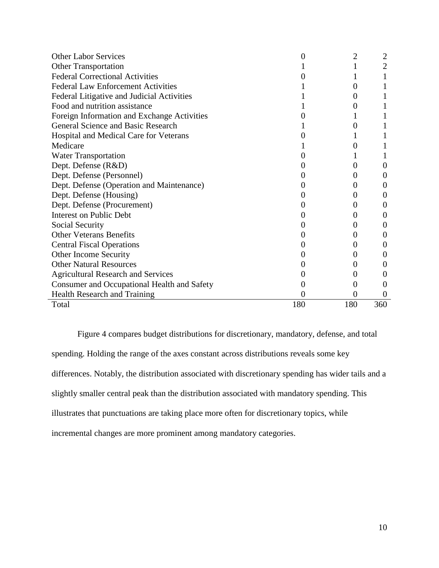| <b>Other Labor Services</b>                 | 0   | 2        |          |
|---------------------------------------------|-----|----------|----------|
| <b>Other Transportation</b>                 |     |          | 2        |
| <b>Federal Correctional Activities</b>      |     |          |          |
| <b>Federal Law Enforcement Activities</b>   |     | 0        |          |
| Federal Litigative and Judicial Activities  |     | $\Omega$ |          |
| Food and nutrition assistance               |     | 0        |          |
| Foreign Information and Exchange Activities |     |          |          |
| General Science and Basic Research          |     | 0        |          |
| Hospital and Medical Care for Veterans      |     |          |          |
| Medicare                                    |     | 0        |          |
| <b>Water Transportation</b>                 |     |          |          |
| Dept. Defense (R&D)                         |     | $\theta$ | 0        |
| Dept. Defense (Personnel)                   |     | 0        | 0        |
| Dept. Defense (Operation and Maintenance)   |     | 0        | 0        |
| Dept. Defense (Housing)                     |     | $\theta$ | $\theta$ |
| Dept. Defense (Procurement)                 |     | 0        | 0        |
| <b>Interest on Public Debt</b>              |     | 0        | $\theta$ |
| Social Security                             |     | $\theta$ | 0        |
| <b>Other Veterans Benefits</b>              |     | $_{0}$   | 0        |
| <b>Central Fiscal Operations</b>            |     | 0        | 0        |
| Other Income Security                       |     | $\theta$ | $\theta$ |
| <b>Other Natural Resources</b>              |     | 0        | $\theta$ |
| <b>Agricultural Research and Services</b>   |     | 0        | 0        |
| Consumer and Occupational Health and Safety |     | 0        | $\theta$ |
| Health Research and Training                | 0   | $\Omega$ | $\theta$ |
| Total                                       | 180 | 180      | 360      |

Figure 4 compares budget distributions for discretionary, mandatory, defense, and total spending. Holding the range of the axes constant across distributions reveals some key differences. Notably, the distribution associated with discretionary spending has wider tails and a slightly smaller central peak than the distribution associated with mandatory spending. This illustrates that punctuations are taking place more often for discretionary topics, while incremental changes are more prominent among mandatory categories.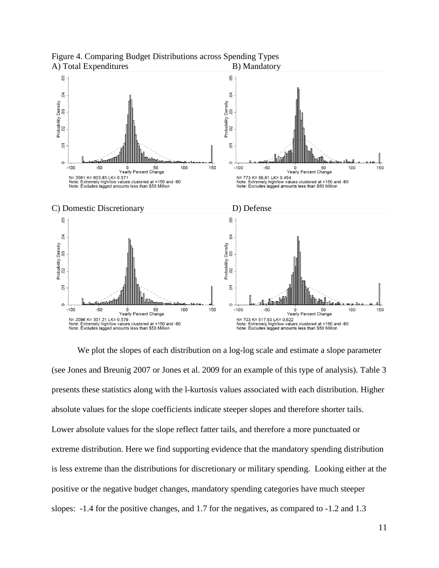

Figure 4. Comparing Budget Distributions across Spending Types A) Total Expenditures B) Mandatory

We plot the slopes of each distribution on a log-log scale and estimate a slope parameter (see Jones and Breunig 2007 or Jones et al. 2009 for an example of this type of analysis). Table 3 presents these statistics along with the l-kurtosis values associated with each distribution. Higher absolute values for the slope coefficients indicate steeper slopes and therefore shorter tails. Lower absolute values for the slope reflect fatter tails, and therefore a more punctuated or extreme distribution. Here we find supporting evidence that the mandatory spending distribution is less extreme than the distributions for discretionary or military spending. Looking either at the positive or the negative budget changes, mandatory spending categories have much steeper slopes: -1.4 for the positive changes, and 1.7 for the negatives, as compared to -1.2 and 1.3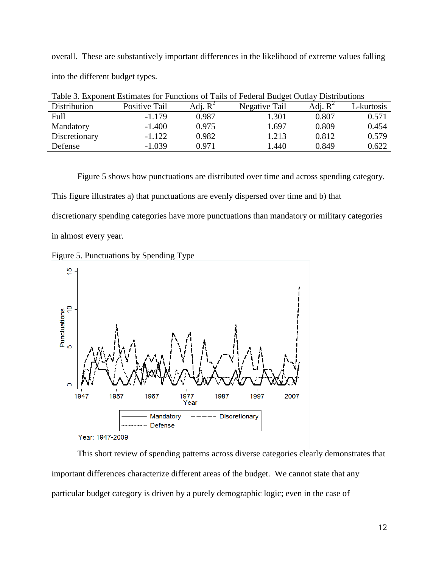overall. These are substantively important differences in the likelihood of extreme values falling into the different budget types.

| Distribution  | Positive Tail | Adj. $R^2$ | Negative Tail | Adj. $R^2$ | -kurtosis |
|---------------|---------------|------------|---------------|------------|-----------|
| Full          | $-1.179$      | 0.987      | l.301         | ${0.807}$  | 0.571     |
| Mandatory     | $-1.400$      | 0.975      | 1.697         | 0.809      | 0.454     |
| Discretionary | $-1.122$      | 0.982      | 1.213         | 0.812      | 0.579     |
| Defense       | $-1.039$      | 0.971      | l.440         | 0.849      | 0.622     |

Table 3. Exponent Estimates for Functions of Tails of Federal Budget Outlay Distributions

Figure 5 shows how punctuations are distributed over time and across spending category.

This figure illustrates a) that punctuations are evenly dispersed over time and b) that

discretionary spending categories have more punctuations than mandatory or military categories

in almost every year.





This short review of spending patterns across diverse categories clearly demonstrates that important differences characterize different areas of the budget. We cannot state that any particular budget category is driven by a purely demographic logic; even in the case of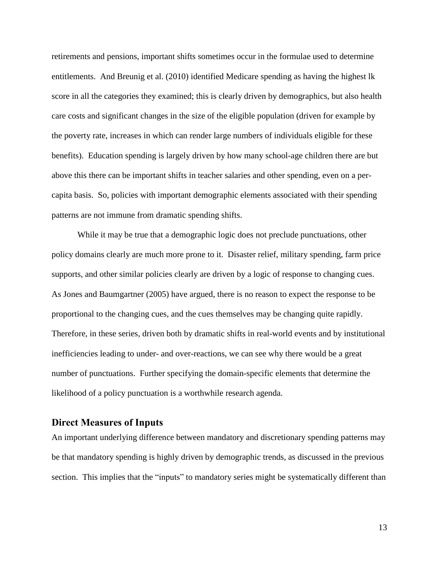retirements and pensions, important shifts sometimes occur in the formulae used to determine entitlements. And Breunig et al. (2010) identified Medicare spending as having the highest lk score in all the categories they examined; this is clearly driven by demographics, but also health care costs and significant changes in the size of the eligible population (driven for example by the poverty rate, increases in which can render large numbers of individuals eligible for these benefits). Education spending is largely driven by how many school-age children there are but above this there can be important shifts in teacher salaries and other spending, even on a percapita basis. So, policies with important demographic elements associated with their spending patterns are not immune from dramatic spending shifts.

While it may be true that a demographic logic does not preclude punctuations, other policy domains clearly are much more prone to it. Disaster relief, military spending, farm price supports, and other similar policies clearly are driven by a logic of response to changing cues. As Jones and Baumgartner (2005) have argued, there is no reason to expect the response to be proportional to the changing cues, and the cues themselves may be changing quite rapidly. Therefore, in these series, driven both by dramatic shifts in real-world events and by institutional inefficiencies leading to under- and over-reactions, we can see why there would be a great number of punctuations. Further specifying the domain-specific elements that determine the likelihood of a policy punctuation is a worthwhile research agenda.

# **Direct Measures of Inputs**

An important underlying difference between mandatory and discretionary spending patterns may be that mandatory spending is highly driven by demographic trends, as discussed in the previous section. This implies that the "inputs" to mandatory series might be systematically different than

13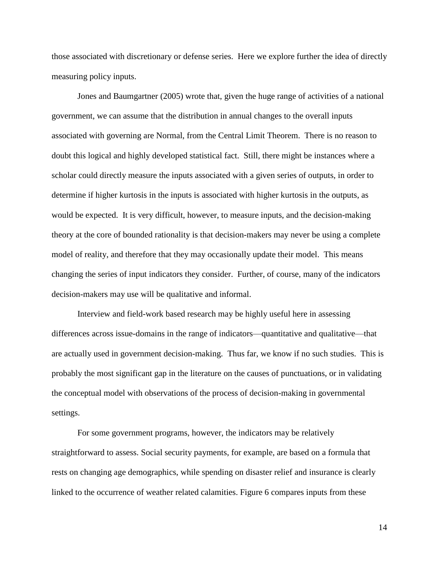those associated with discretionary or defense series. Here we explore further the idea of directly measuring policy inputs.

Jones and Baumgartner (2005) wrote that, given the huge range of activities of a national government, we can assume that the distribution in annual changes to the overall inputs associated with governing are Normal, from the Central Limit Theorem. There is no reason to doubt this logical and highly developed statistical fact. Still, there might be instances where a scholar could directly measure the inputs associated with a given series of outputs, in order to determine if higher kurtosis in the inputs is associated with higher kurtosis in the outputs, as would be expected. It is very difficult, however, to measure inputs, and the decision-making theory at the core of bounded rationality is that decision-makers may never be using a complete model of reality, and therefore that they may occasionally update their model. This means changing the series of input indicators they consider. Further, of course, many of the indicators decision-makers may use will be qualitative and informal.

Interview and field-work based research may be highly useful here in assessing differences across issue-domains in the range of indicators—quantitative and qualitative—that are actually used in government decision-making. Thus far, we know if no such studies. This is probably the most significant gap in the literature on the causes of punctuations, or in validating the conceptual model with observations of the process of decision-making in governmental settings.

For some government programs, however, the indicators may be relatively straightforward to assess. Social security payments, for example, are based on a formula that rests on changing age demographics, while spending on disaster relief and insurance is clearly linked to the occurrence of weather related calamities. Figure 6 compares inputs from these

14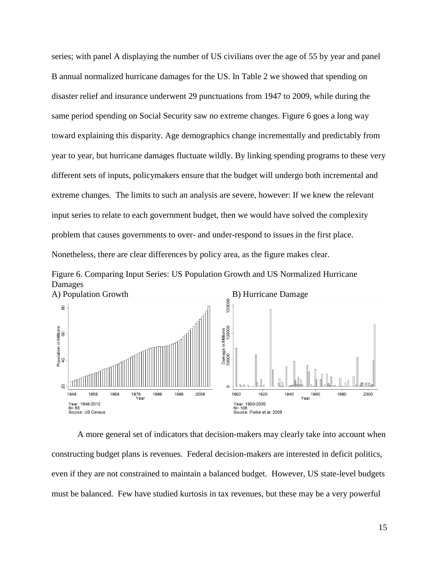series; with panel A displaying the number of US civilians over the age of 55 by year and panel B annual normalized hurricane damages for the US. In Table 2 we showed that spending on disaster relief and insurance underwent 29 punctuations from 1947 to 2009, while during the same period spending on Social Security saw no extreme changes. Figure 6 goes a long way toward explaining this disparity. Age demographics change incrementally and predictably from year to year, but hurricane damages fluctuate wildly. By linking spending programs to these very different sets of inputs, policymakers ensure that the budget will undergo both incremental and extreme changes. The limits to such an analysis are severe, however: If we knew the relevant input series to relate to each government budget, then we would have solved the complexity problem that causes governments to over- and under-respond to issues in the first place. Nonetheless, there are clear differences by policy area, as the figure makes clear.





A more general set of indicators that decision-makers may clearly take into account when constructing budget plans is revenues. Federal decision-makers are interested in deficit politics, even if they are not constrained to maintain a balanced budget. However, US state-level budgets must be balanced. Few have studied kurtosis in tax revenues, but these may be a very powerful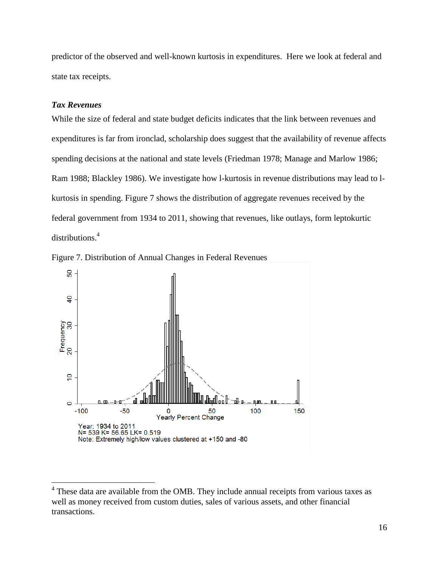predictor of the observed and well-known kurtosis in expenditures. Here we look at federal and state tax receipts.

#### *Tax Revenues*

 $\overline{a}$ 

While the size of federal and state budget deficits indicates that the link between revenues and expenditures is far from ironclad, scholarship does suggest that the availability of revenue affects spending decisions at the national and state levels (Friedman 1978; Manage and Marlow 1986; Ram 1988; Blackley 1986). We investigate how l-kurtosis in revenue distributions may lead to lkurtosis in spending. Figure 7 shows the distribution of aggregate revenues received by the federal government from 1934 to 2011, showing that revenues, like outlays, form leptokurtic distributions. 4





 $4$  These data are available from the OMB. They include annual receipts from various taxes as well as money received from custom duties, sales of various assets, and other financial transactions.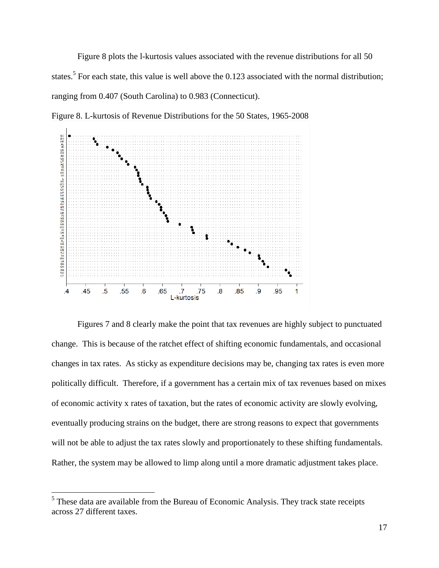Figure 8 plots the l-kurtosis values associated with the revenue distributions for all 50 states.<sup>5</sup> For each state, this value is well above the 0.123 associated with the normal distribution; ranging from 0.407 (South Carolina) to 0.983 (Connecticut).



Figure 8. L-kurtosis of Revenue Distributions for the 50 States, 1965-2008

Figures 7 and 8 clearly make the point that tax revenues are highly subject to punctuated change. This is because of the ratchet effect of shifting economic fundamentals, and occasional changes in tax rates. As sticky as expenditure decisions may be, changing tax rates is even more politically difficult. Therefore, if a government has a certain mix of tax revenues based on mixes of economic activity x rates of taxation, but the rates of economic activity are slowly evolving, eventually producing strains on the budget, there are strong reasons to expect that governments will not be able to adjust the tax rates slowly and proportionately to these shifting fundamentals. Rather, the system may be allowed to limp along until a more dramatic adjustment takes place.

<sup>&</sup>lt;sup>5</sup> These data are available from the Bureau of Economic Analysis. They track state receipts across 27 different taxes.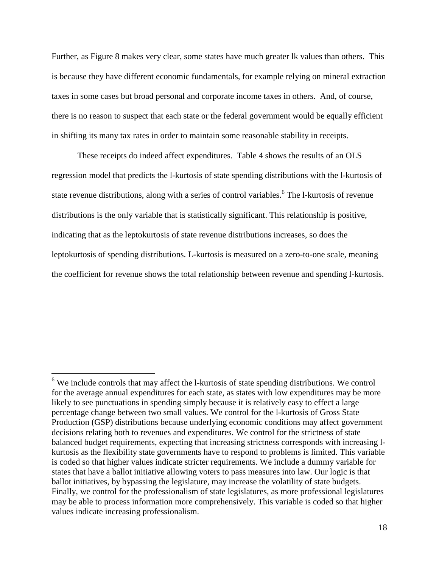Further, as Figure 8 makes very clear, some states have much greater lk values than others. This is because they have different economic fundamentals, for example relying on mineral extraction taxes in some cases but broad personal and corporate income taxes in others. And, of course, there is no reason to suspect that each state or the federal government would be equally efficient in shifting its many tax rates in order to maintain some reasonable stability in receipts.

These receipts do indeed affect expenditures. Table 4 shows the results of an OLS regression model that predicts the l-kurtosis of state spending distributions with the l-kurtosis of state revenue distributions, along with a series of control variables.<sup>6</sup> The l-kurtosis of revenue distributions is the only variable that is statistically significant. This relationship is positive, indicating that as the leptokurtosis of state revenue distributions increases, so does the leptokurtosis of spending distributions. L-kurtosis is measured on a zero-to-one scale, meaning the coefficient for revenue shows the total relationship between revenue and spending l-kurtosis.

 $6$  We include controls that may affect the l-kurtosis of state spending distributions. We control for the average annual expenditures for each state, as states with low expenditures may be more likely to see punctuations in spending simply because it is relatively easy to effect a large percentage change between two small values. We control for the l-kurtosis of Gross State Production (GSP) distributions because underlying economic conditions may affect government decisions relating both to revenues and expenditures. We control for the strictness of state balanced budget requirements, expecting that increasing strictness corresponds with increasing lkurtosis as the flexibility state governments have to respond to problems is limited. This variable is coded so that higher values indicate stricter requirements. We include a dummy variable for states that have a ballot initiative allowing voters to pass measures into law. Our logic is that ballot initiatives, by bypassing the legislature, may increase the volatility of state budgets. Finally, we control for the professionalism of state legislatures, as more professional legislatures may be able to process information more comprehensively. This variable is coded so that higher values indicate increasing professionalism.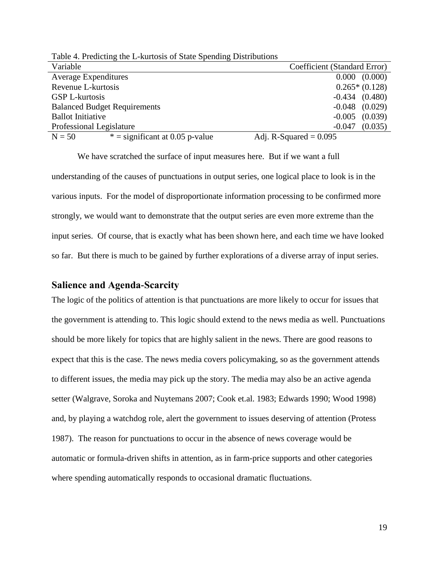| Table 4. I fearening the E-Kurtosis of Brate Spending Distributions |                              |
|---------------------------------------------------------------------|------------------------------|
| Variable                                                            | Coefficient (Standard Error) |
| <b>Average Expenditures</b>                                         | 0.000 (0.000)                |
| Revenue L-kurtosis                                                  | $0.265*(0.128)$              |
| <b>GSP L-kurtosis</b>                                               | $-0.434$ $(0.480)$           |
| <b>Balanced Budget Requirements</b>                                 | $-0.048$ $(0.029)$           |
| <b>Ballot Initiative</b>                                            | $-0.005$ $(0.039)$           |
| Professional Legislature                                            | (0.035)<br>$-0.047$          |
| $*$ = significant at 0.05 p-value<br>$N = 50$                       | Adj. R-Squared $= 0.095$     |

Table 4. Predicting the L-kurtosis of State Spending Distributions

We have scratched the surface of input measures here. But if we want a full understanding of the causes of punctuations in output series, one logical place to look is in the various inputs. For the model of disproportionate information processing to be confirmed more strongly, we would want to demonstrate that the output series are even more extreme than the input series. Of course, that is exactly what has been shown here, and each time we have looked so far. But there is much to be gained by further explorations of a diverse array of input series.

### **Salience and Agenda-Scarcity**

The logic of the politics of attention is that punctuations are more likely to occur for issues that the government is attending to. This logic should extend to the news media as well. Punctuations should be more likely for topics that are highly salient in the news. There are good reasons to expect that this is the case. The news media covers policymaking, so as the government attends to different issues, the media may pick up the story. The media may also be an active agenda setter (Walgrave, Soroka and Nuytemans 2007; Cook et.al. 1983; Edwards 1990; Wood 1998) and, by playing a watchdog role, alert the government to issues deserving of attention (Protess 1987). The reason for punctuations to occur in the absence of news coverage would be automatic or formula-driven shifts in attention, as in farm-price supports and other categories where spending automatically responds to occasional dramatic fluctuations.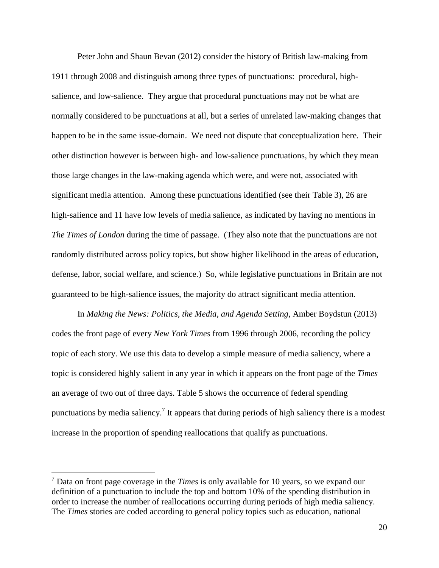Peter John and Shaun Bevan (2012) consider the history of British law-making from 1911 through 2008 and distinguish among three types of punctuations: procedural, highsalience, and low-salience. They argue that procedural punctuations may not be what are normally considered to be punctuations at all, but a series of unrelated law-making changes that happen to be in the same issue-domain. We need not dispute that conceptualization here. Their other distinction however is between high- and low-salience punctuations, by which they mean those large changes in the law-making agenda which were, and were not, associated with significant media attention. Among these punctuations identified (see their Table 3), 26 are high-salience and 11 have low levels of media salience, as indicated by having no mentions in *The Times of London* during the time of passage. (They also note that the punctuations are not randomly distributed across policy topics, but show higher likelihood in the areas of education, defense, labor, social welfare, and science.) So, while legislative punctuations in Britain are not guaranteed to be high-salience issues, the majority do attract significant media attention.

In *Making the News: Politics, the Media, and Agenda Setting*, Amber Boydstun (2013) codes the front page of every *New York Times* from 1996 through 2006, recording the policy topic of each story. We use this data to develop a simple measure of media saliency, where a topic is considered highly salient in any year in which it appears on the front page of the *Times* an average of two out of three days. Table 5 shows the occurrence of federal spending punctuations by media saliency.<sup>7</sup> It appears that during periods of high saliency there is a modest increase in the proportion of spending reallocations that qualify as punctuations.

<sup>7</sup> Data on front page coverage in the *Times* is only available for 10 years, so we expand our definition of a punctuation to include the top and bottom 10% of the spending distribution in order to increase the number of reallocations occurring during periods of high media saliency. The *Times* stories are coded according to general policy topics such as education, national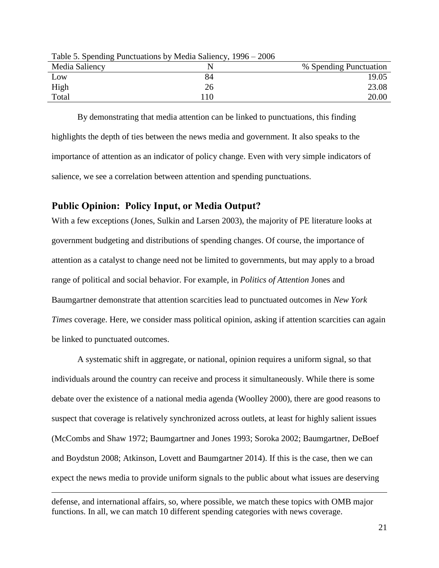| Media Saliency |      | % Spending Punctuation |
|----------------|------|------------------------|
| Low            | 84   | 19.05                  |
| High           | 26   | 23.08                  |
| Total          | l 10 | 20.00                  |

Table 5. Spending Punctuations by Media Saliency, 1996 – 2006

By demonstrating that media attention can be linked to punctuations, this finding highlights the depth of ties between the news media and government. It also speaks to the importance of attention as an indicator of policy change. Even with very simple indicators of salience, we see a correlation between attention and spending punctuations.

### **Public Opinion: Policy Input, or Media Output?**

 $\overline{a}$ 

With a few exceptions (Jones, Sulkin and Larsen 2003), the majority of PE literature looks at government budgeting and distributions of spending changes. Of course, the importance of attention as a catalyst to change need not be limited to governments, but may apply to a broad range of political and social behavior. For example, in *Politics of Attention* Jones and Baumgartner demonstrate that attention scarcities lead to punctuated outcomes in *New York Times* coverage. Here, we consider mass political opinion, asking if attention scarcities can again be linked to punctuated outcomes.

A systematic shift in aggregate, or national, opinion requires a uniform signal, so that individuals around the country can receive and process it simultaneously. While there is some debate over the existence of a national media agenda (Woolley 2000), there are good reasons to suspect that coverage is relatively synchronized across outlets, at least for highly salient issues (McCombs and Shaw 1972; Baumgartner and Jones 1993; Soroka 2002; Baumgartner, DeBoef and Boydstun 2008; Atkinson, Lovett and Baumgartner 2014). If this is the case, then we can expect the news media to provide uniform signals to the public about what issues are deserving

defense, and international affairs, so, where possible, we match these topics with OMB major functions. In all, we can match 10 different spending categories with news coverage.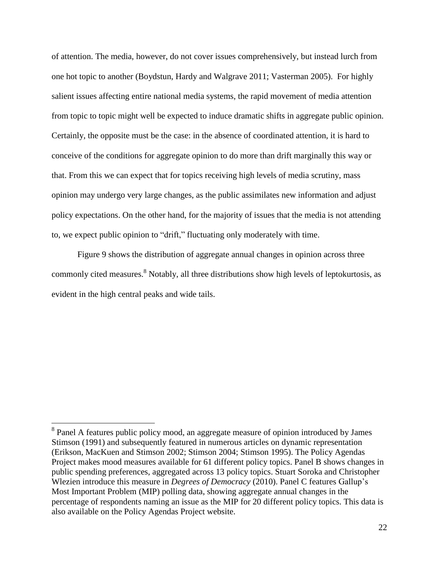of attention. The media, however, do not cover issues comprehensively, but instead lurch from one hot topic to another (Boydstun, Hardy and Walgrave 2011; Vasterman 2005). For highly salient issues affecting entire national media systems, the rapid movement of media attention from topic to topic might well be expected to induce dramatic shifts in aggregate public opinion. Certainly, the opposite must be the case: in the absence of coordinated attention, it is hard to conceive of the conditions for aggregate opinion to do more than drift marginally this way or that. From this we can expect that for topics receiving high levels of media scrutiny, mass opinion may undergo very large changes, as the public assimilates new information and adjust policy expectations. On the other hand, for the majority of issues that the media is not attending to, we expect public opinion to "drift," fluctuating only moderately with time.

Figure 9 shows the distribution of aggregate annual changes in opinion across three commonly cited measures.<sup>8</sup> Notably, all three distributions show high levels of leptokurtosis, as evident in the high central peaks and wide tails.

<sup>&</sup>lt;sup>8</sup> Panel A features public policy mood, an aggregate measure of opinion introduced by James Stimson (1991) and subsequently featured in numerous articles on dynamic representation (Erikson, MacKuen and Stimson 2002; Stimson 2004; Stimson 1995). The Policy Agendas Project makes mood measures available for 61 different policy topics. Panel B shows changes in public spending preferences, aggregated across 13 policy topics. Stuart Soroka and Christopher Wlezien introduce this measure in *Degrees of Democracy* (2010). Panel C features Gallup's Most Important Problem (MIP) polling data, showing aggregate annual changes in the percentage of respondents naming an issue as the MIP for 20 different policy topics. This data is also available on the Policy Agendas Project website.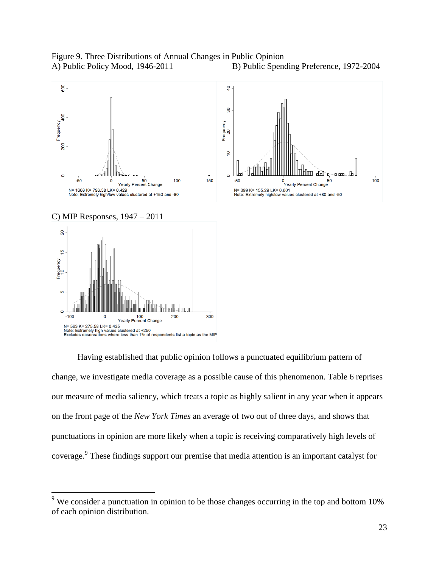Figure 9. Three Distributions of Annual Changes in Public Opinion A) Public Policy Mood, 1946-2011 B) Public Spending Preference, 1972-2004



Having established that public opinion follows a punctuated equilibrium pattern of change, we investigate media coverage as a possible cause of this phenomenon. Table 6 reprises our measure of media saliency, which treats a topic as highly salient in any year when it appears on the front page of the *New York Times* an average of two out of three days, and shows that punctuations in opinion are more likely when a topic is receiving comparatively high levels of coverage.<sup>9</sup> These findings support our premise that media attention is an important catalyst for

 $9\%$  We consider a punctuation in opinion to be those changes occurring in the top and bottom 10% of each opinion distribution.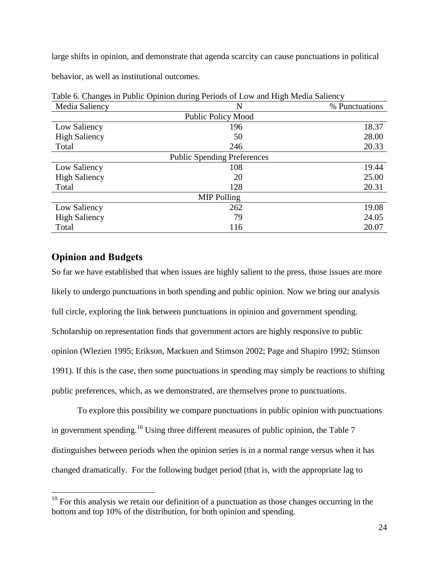large shifts in opinion, and demonstrate that agenda scarcity can cause punctuations in political

behavior, as well as institutional outcomes.

| ັ                                  | ັ<br>ັ                    |                |  |
|------------------------------------|---------------------------|----------------|--|
| Media Saliency                     | N                         | % Punctuations |  |
|                                    | <b>Public Policy Mood</b> |                |  |
| Low Saliency                       | 196                       | 18.37          |  |
| <b>High Saliency</b>               | 50                        | 28.00          |  |
| Total                              | 246                       | 20.33          |  |
| <b>Public Spending Preferences</b> |                           |                |  |
| Low Saliency                       | 108                       | 19.44          |  |
| <b>High Saliency</b>               | 20                        | 25.00          |  |
| Total                              | 128                       | 20.31          |  |
| <b>MIP Polling</b>                 |                           |                |  |
| Low Saliency                       | 262                       | 19.08          |  |
| <b>High Saliency</b>               | 79                        | 24.05          |  |
| Total                              | 116                       | 20.07          |  |

Table 6. Changes in Public Opinion during Periods of Low and High Media Saliency

# **Opinion and Budgets**

 $\overline{a}$ 

So far we have established that when issues are highly salient to the press, those issues are more likely to undergo punctuations in both spending and public opinion. Now we bring our analysis full circle, exploring the link between punctuations in opinion and government spending. Scholarship on representation finds that government actors are highly responsive to public opinion (Wlezien 1995; Erikson, Mackuen and Stimson 2002; Page and Shapiro 1992; Stimson 1991). If this is the case, then some punctuations in spending may simply be reactions to shifting public preferences, which, as we demonstrated, are themselves prone to punctuations.

To explore this possibility we compare punctuations in public opinion with punctuations in government spending.<sup>10</sup> Using three different measures of public opinion, the Table 7 distinguishes between periods when the opinion series is in a normal range versus when it has changed dramatically. For the following budget period (that is, with the appropriate lag to

 $10$  For this analysis we retain our definition of a punctuation as those changes occurring in the bottom and top 10% of the distribution, for both opinion and spending.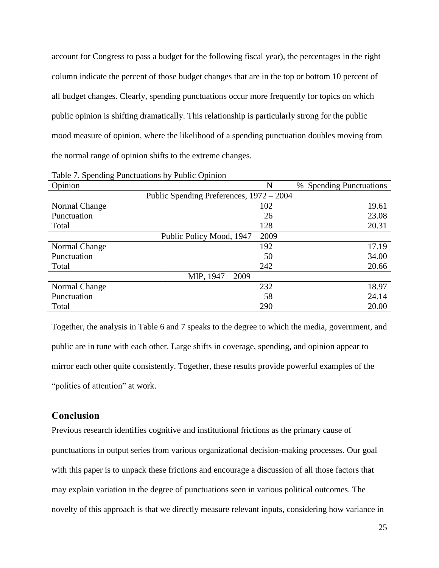account for Congress to pass a budget for the following fiscal year), the percentages in the right column indicate the percent of those budget changes that are in the top or bottom 10 percent of all budget changes. Clearly, spending punctuations occur more frequently for topics on which public opinion is shifting dramatically. This relationship is particularly strong for the public mood measure of opinion, where the likelihood of a spending punctuation doubles moving from the normal range of opinion shifts to the extreme changes.

| $\circ$<br>Opinion | N                                        | <b>Spending Punctuations</b><br>% |
|--------------------|------------------------------------------|-----------------------------------|
|                    | Public Spending Preferences, 1972 – 2004 |                                   |
| Normal Change      | 102                                      | 19.61                             |
| Punctuation        | 26                                       | 23.08                             |
| Total              | 128                                      | 20.31                             |
|                    | Public Policy Mood, 1947 – 2009          |                                   |
| Normal Change      | 192                                      | 17.19                             |
| Punctuation        | 50                                       | 34.00                             |
| Total              | 242                                      | 20.66                             |
| MIP, $1947 - 2009$ |                                          |                                   |
| Normal Change      | 232                                      | 18.97                             |
| Punctuation        | 58                                       | 24.14                             |
| Total              | 290                                      | 20.00                             |

Table 7. Spending Punctuations by Public Opinion

Together, the analysis in Table 6 and 7 speaks to the degree to which the media, government, and public are in tune with each other. Large shifts in coverage, spending, and opinion appear to mirror each other quite consistently. Together, these results provide powerful examples of the "politics of attention" at work.

# **Conclusion**

Previous research identifies cognitive and institutional frictions as the primary cause of punctuations in output series from various organizational decision-making processes. Our goal with this paper is to unpack these frictions and encourage a discussion of all those factors that may explain variation in the degree of punctuations seen in various political outcomes. The novelty of this approach is that we directly measure relevant inputs, considering how variance in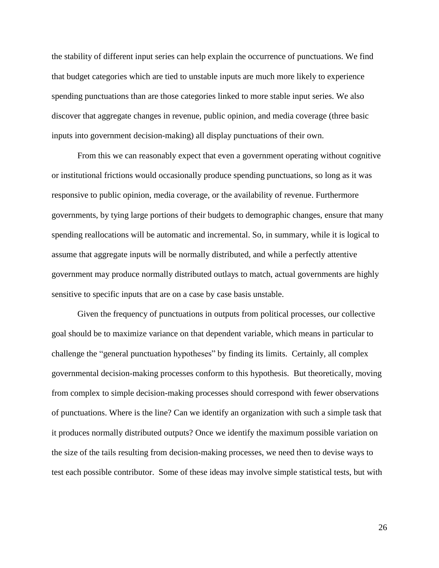the stability of different input series can help explain the occurrence of punctuations. We find that budget categories which are tied to unstable inputs are much more likely to experience spending punctuations than are those categories linked to more stable input series. We also discover that aggregate changes in revenue, public opinion, and media coverage (three basic inputs into government decision-making) all display punctuations of their own.

From this we can reasonably expect that even a government operating without cognitive or institutional frictions would occasionally produce spending punctuations, so long as it was responsive to public opinion, media coverage, or the availability of revenue. Furthermore governments, by tying large portions of their budgets to demographic changes, ensure that many spending reallocations will be automatic and incremental. So, in summary, while it is logical to assume that aggregate inputs will be normally distributed, and while a perfectly attentive government may produce normally distributed outlays to match, actual governments are highly sensitive to specific inputs that are on a case by case basis unstable.

Given the frequency of punctuations in outputs from political processes, our collective goal should be to maximize variance on that dependent variable, which means in particular to challenge the "general punctuation hypotheses" by finding its limits. Certainly, all complex governmental decision-making processes conform to this hypothesis. But theoretically, moving from complex to simple decision-making processes should correspond with fewer observations of punctuations. Where is the line? Can we identify an organization with such a simple task that it produces normally distributed outputs? Once we identify the maximum possible variation on the size of the tails resulting from decision-making processes, we need then to devise ways to test each possible contributor. Some of these ideas may involve simple statistical tests, but with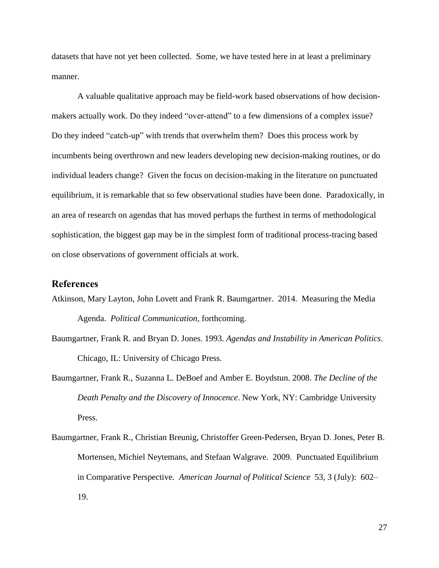datasets that have not yet been collected. Some, we have tested here in at least a preliminary manner.

A valuable qualitative approach may be field-work based observations of how decisionmakers actually work. Do they indeed "over-attend" to a few dimensions of a complex issue? Do they indeed "catch-up" with trends that overwhelm them? Does this process work by incumbents being overthrown and new leaders developing new decision-making routines, or do individual leaders change? Given the focus on decision-making in the literature on punctuated equilibrium, it is remarkable that so few observational studies have been done. Paradoxically, in an area of research on agendas that has moved perhaps the furthest in terms of methodological sophistication, the biggest gap may be in the simplest form of traditional process-tracing based on close observations of government officials at work.

### **References**

- Atkinson, Mary Layton, John Lovett and Frank R. Baumgartner. 2014. Measuring the Media Agenda. *Political Communication,* forthcoming.
- Baumgartner, Frank R. and Bryan D. Jones. 1993. *Agendas and Instability in American Politics*. Chicago, IL: University of Chicago Press.
- Baumgartner, Frank R., Suzanna L. DeBoef and Amber E. Boydstun. 2008. *The Decline of the Death Penalty and the Discovery of Innocence*. New York, NY: Cambridge University Press.
- Baumgartner, Frank R., Christian Breunig, Christoffer Green-Pedersen, Bryan D. Jones, Peter B. Mortensen, Michiel Neytemans, and Stefaan Walgrave. 2009. Punctuated Equilibrium in Comparative Perspective. *American Journal of Political Science* 53, 3 (July): 602– 19.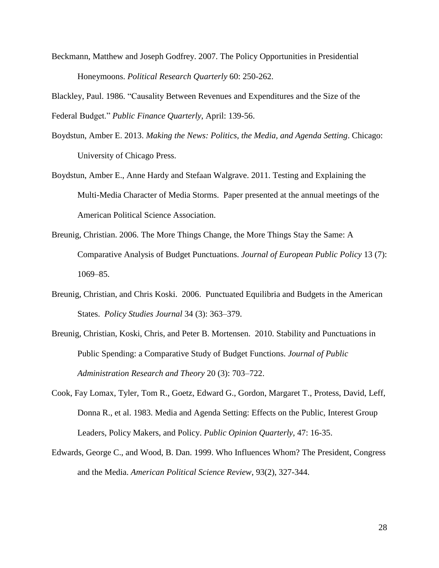Beckmann, Matthew and Joseph Godfrey. 2007. The Policy Opportunities in Presidential Honeymoons. *Political Research Quarterly* 60: 250-262.

Blackley, Paul. 1986. "Causality Between Revenues and Expenditures and the Size of the Federal Budget." *Public Finance Quarterly*, April: 139-56.

- Boydstun, Amber E. 2013. *Making the News: Politics, the Media, and Agenda Setting*. Chicago: University of Chicago Press.
- Boydstun, Amber E., Anne Hardy and Stefaan Walgrave. 2011. Testing and Explaining the Multi-Media Character of Media Storms. Paper presented at the annual meetings of the American Political Science Association.
- Breunig, Christian. 2006. The More Things Change, the More Things Stay the Same: A Comparative Analysis of Budget Punctuations. *Journal of European Public Policy* 13 (7): 1069–85.
- Breunig, Christian, and Chris Koski. 2006. Punctuated Equilibria and Budgets in the American States. *Policy Studies Journal* 34 (3): 363–379.
- Breunig, Christian, Koski, Chris, and Peter B. Mortensen. 2010. Stability and Punctuations in Public Spending: a Comparative Study of Budget Functions. *Journal of Public Administration Research and Theory* 20 (3): 703–722.
- Cook, Fay Lomax, Tyler, Tom R., Goetz, Edward G., Gordon, Margaret T., Protess, David, Leff, Donna R., et al. 1983. Media and Agenda Setting: Effects on the Public, Interest Group Leaders, Policy Makers, and Policy. *Public Opinion Quarterly*, 47: 16-35.
- Edwards, George C., and Wood, B. Dan. 1999. Who Influences Whom? The President, Congress and the Media. *American Political Science Review*, 93(2), 327-344.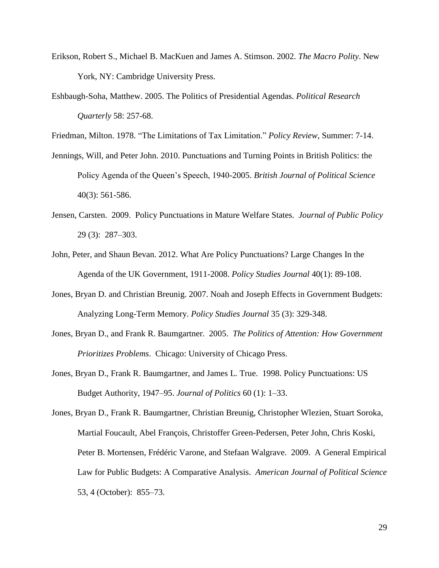- Erikson, Robert S., Michael B. MacKuen and James A. Stimson. 2002. *The Macro Polity*. New York, NY: Cambridge University Press.
- Eshbaugh-Soha, Matthew. 2005. The Politics of Presidential Agendas. *Political Research Quarterly* 58: 257-68.

Friedman, Milton. 1978. "The Limitations of Tax Limitation." *Policy Review*, Summer: 7-14.

- Jennings, Will, and Peter John. 2010. Punctuations and Turning Points in British Politics: the Policy Agenda of the Queen's Speech, 1940-2005. *British Journal of Political Science* 40(3): 561-586.
- Jensen, Carsten. 2009. Policy Punctuations in Mature Welfare States. *Journal of Public Policy* 29 (3): 287–303.
- John, Peter, and Shaun Bevan. 2012. What Are Policy Punctuations? Large Changes In the Agenda of the UK Government, 1911-2008. *Policy Studies Journal* 40(1): 89-108.
- Jones, Bryan D. and Christian Breunig. 2007. Noah and Joseph Effects in Government Budgets: Analyzing Long-Term Memory. *Policy Studies Journal* 35 (3): 329-348.
- Jones, Bryan D., and Frank R. Baumgartner. 2005. *The Politics of Attention: How Government Prioritizes Problems*. Chicago: University of Chicago Press.
- Jones, Bryan D., Frank R. Baumgartner, and James L. True. 1998. Policy Punctuations: US Budget Authority, 1947–95. *Journal of Politics* 60 (1): 1–33.

Jones, Bryan D., Frank R. Baumgartner, Christian Breunig, Christopher Wlezien, Stuart Soroka, Martial Foucault, Abel François, Christoffer Green-Pedersen, Peter John, Chris Koski, Peter B. Mortensen, Frédéric Varone, and Stefaan Walgrave. 2009. A General Empirical Law for Public Budgets: A Comparative Analysis. *American Journal of Political Science* 53, 4 (October): 855–73.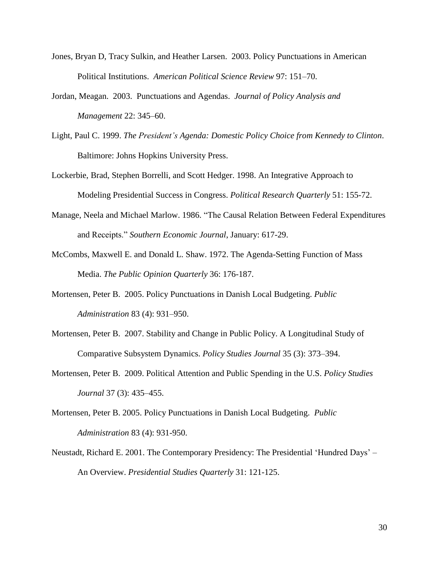- Jones, Bryan D, Tracy Sulkin, and Heather Larsen. 2003. Policy Punctuations in American Political Institutions. *American Political Science Review* 97: 151–70.
- Jordan, Meagan. 2003. Punctuations and Agendas. *Journal of Policy Analysis and Management* 22: 345–60.
- Light, Paul C. 1999. *The President's Agenda: Domestic Policy Choice from Kennedy to Clinton*. Baltimore: Johns Hopkins University Press.
- Lockerbie, Brad, Stephen Borrelli, and Scott Hedger. 1998. An Integrative Approach to Modeling Presidential Success in Congress. *Political Research Quarterly* 51: 155-72.
- Manage, Neela and Michael Marlow. 1986. "The Causal Relation Between Federal Expenditures and Receipts." *Southern Economic Journal*, January: 617-29.
- McCombs, Maxwell E. and Donald L. Shaw. 1972. The Agenda-Setting Function of Mass Media. *The Public Opinion Quarterly* 36: 176-187.
- Mortensen, Peter B. 2005. Policy Punctuations in Danish Local Budgeting. *Public Administration* 83 (4): 931–950.
- Mortensen, Peter B. 2007. Stability and Change in Public Policy. A Longitudinal Study of Comparative Subsystem Dynamics. *Policy Studies Journal* 35 (3): 373–394.
- Mortensen, Peter B. 2009. Political Attention and Public Spending in the U.S. *Policy Studies Journal* 37 (3): 435–455.
- Mortensen, Peter B. 2005. Policy Punctuations in Danish Local Budgeting. *Public Administration* 83 (4): 931-950.
- Neustadt, Richard E. 2001. The Contemporary Presidency: The Presidential 'Hundred Days' An Overview. *Presidential Studies Quarterly* 31: 121-125.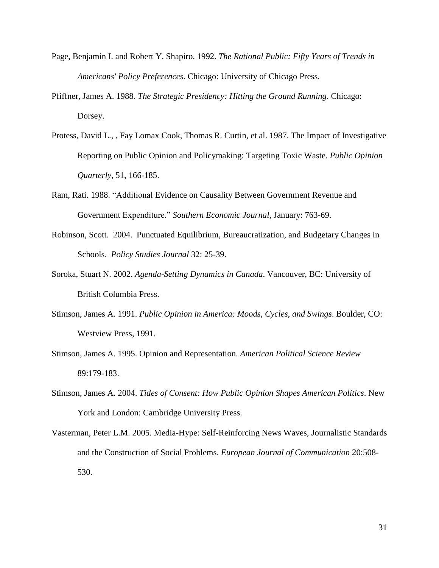- Page, Benjamin I. and Robert Y. Shapiro. 1992. *The Rational Public: Fifty Years of Trends in Americans' Policy Preferences*. Chicago: University of Chicago Press.
- Pfiffner, James A. 1988. *The Strategic Presidency: Hitting the Ground Running*. Chicago: Dorsey.
- Protess, David L., , Fay Lomax Cook, Thomas R. Curtin, et al. 1987. The Impact of Investigative Reporting on Public Opinion and Policymaking: Targeting Toxic Waste. *Public Opinion Quarterly*, 51, 166-185.
- Ram, Rati. 1988. "Additional Evidence on Causality Between Government Revenue and Government Expenditure." *Southern Economic Journal*, January: 763-69.
- Robinson, Scott. 2004. Punctuated Equilibrium, Bureaucratization, and Budgetary Changes in Schools. *Policy Studies Journal* 32: 25-39.
- Soroka, Stuart N. 2002. *Agenda-Setting Dynamics in Canada*. Vancouver, BC: University of British Columbia Press.
- Stimson, James A. 1991. *Public Opinion in America: Moods, Cycles, and Swings*. Boulder, CO: Westview Press, 1991.
- Stimson, James A. 1995. Opinion and Representation. *American Political Science Review* 89:179-183.
- Stimson, James A. 2004. *Tides of Consent: How Public Opinion Shapes American Politics*. New York and London: Cambridge University Press.
- Vasterman, Peter L.M. 2005. Media-Hype: Self-Reinforcing News Waves, Journalistic Standards and the Construction of Social Problems. *European Journal of Communication* 20:508- 530.